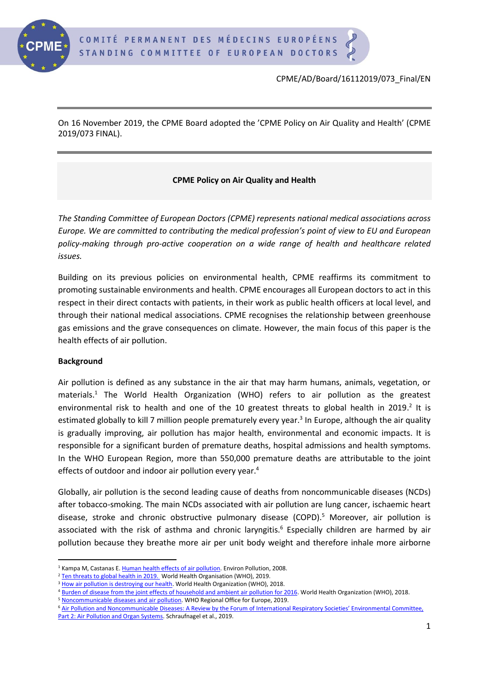

On 16 November 2019, the CPME Board adopted the 'CPME Policy on Air Quality and Health' (CPME 2019/073 FINAL).

## **CPME Policy on Air Quality and Health**

*The Standing Committee of European Doctors (CPME) represents national medical associations across Europe. We are committed to contributing the medical profession's point of view to EU and European policy-making through pro-active cooperation on a wide range of health and healthcare related issues.*

Building on its previous policies on environmental health, CPME reaffirms its commitment to promoting sustainable environments and health. CPME encourages all European doctors to act in this respect in their direct contacts with patients, in their work as public health officers at local level, and through their national medical associations. CPME recognises the relationship between greenhouse gas emissions and the grave consequences on climate. However, the main focus of this paper is the health effects of air pollution.

## **Background**

Air pollution is defined as any substance in the air that may harm humans, animals, vegetation, or materials. <sup>1</sup> The World Health Organization (WHO) refers to air pollution as the greatest environmental risk to health and one of the 10 greatest threats to global health in 2019.<sup>2</sup> It is estimated globally to kill 7 million people prematurely every year.<sup>3</sup> In Europe, although the air quality is gradually improving, air pollution has major health, environmental and economic impacts. It is responsible for a significant burden of premature deaths, hospital admissions and health symptoms. In the WHO European Region, more than 550,000 premature deaths are attributable to the joint effects of outdoor and indoor air pollution every year.<sup>4</sup>

Globally, air pollution is the second leading cause of deaths from noncommunicable diseases (NCDs) after tobacco-smoking. The main NCDs associated with air pollution are lung cancer, ischaemic heart disease, stroke and chronic obstructive pulmonary disease (COPD).<sup>5</sup> Moreover, air pollution is associated with the risk of asthma and chronic laryngitis.<sup>6</sup> Especially children are harmed by air pollution because they breathe more air per unit body weight and therefore inhale more airborne

<sup>5</sup> [Noncommunicable diseases and air pollution.](http://www.euro.who.int/__data/assets/pdf_file/0005/397787/Air-Pollution-and-NCDs.pdf) WHO Regional Office for Europe, 2019.

<sup>&</sup>lt;sup>1</sup> Kampa M, Castanas E[. Human health effects of air pollution.](https://www.sciencedirect.com/science/article/pii/S0269749107002849) Environ Pollution, 2008.

<sup>&</sup>lt;sup>2</sup> [Ten threats to global health in 2019. W](https://www.who.int/emergencies/ten-threats-to-global-health-in-2019)orld Health Organisation (WHO), 2019.

<sup>&</sup>lt;sup>3</sup> [How air pollution is destroying our health.](https://www.who.int/air-pollution/news-and-events/how-air-pollution-is-destroying-our-health) World Health Organization (WHO), 2018.

<sup>4</sup> [Burden of disease from the joint effects of household and ambient air pollution for 2016.](https://www.who.int/airpollution/data/AP_joint_effect_BoD_results_May2018.pdf?ua=1) World Health Organization (WHO), 2018.

<sup>6</sup> Air Pollution and Noncommunicable Diseases: A R[eview by the Forum of International Respiratory Societies' Environmental Committee,](https://www.ncbi.nlm.nih.gov/pubmed/30419237)  [Part 2: Air Pollution and Organ Systems.](https://www.ncbi.nlm.nih.gov/pubmed/30419237) Schraufnagel et al., 2019.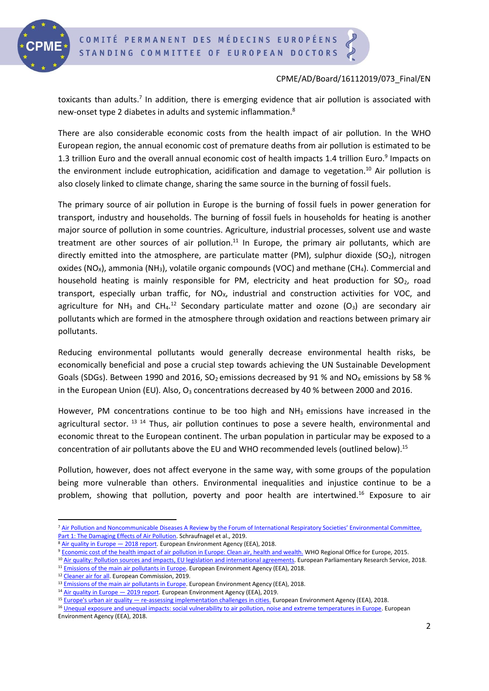

toxicants than adults.<sup>7</sup> In addition, there is emerging evidence that air pollution is associated with new-onset type 2 diabetes in adults and systemic inflammation.<sup>8</sup>

There are also considerable economic costs from the health impact of air pollution. In the WHO European region, the annual economic cost of premature deaths from air pollution is estimated to be 1.3 trillion Euro and the overall annual economic cost of health impacts 1.4 trillion Euro.<sup>9</sup> Impacts on the environment include eutrophication, acidification and damage to vegetation. <sup>10</sup> Air pollution is also closely linked to climate change, sharing the same source in the burning of fossil fuels.

The primary source of air pollution in Europe is the burning of fossil fuels in power generation for transport, industry and households. The burning of fossil fuels in households for heating is another major source of pollution in some countries. Agriculture, industrial processes, solvent use and waste treatment are other sources of air pollution.<sup>11</sup> In Europe, the primary air pollutants, which are directly emitted into the atmosphere, are particulate matter (PM), sulphur dioxide (SO<sub>2</sub>), nitrogen oxides (NO<sub>x</sub>), ammonia (NH<sub>3</sub>), volatile organic compounds (VOC) and methane (CH<sub>4</sub>). Commercial and household heating is mainly responsible for PM, electricity and heat production for  $SO<sub>2</sub>$ , road transport, especially urban traffic, for  $NO<sub>x</sub>$ , industrial and construction activities for VOC, and agriculture for NH<sub>3</sub> and CH<sub>4</sub>.<sup>12</sup> Secondary particulate matter and ozone (O<sub>3</sub>) are secondary air pollutants which are formed in the atmosphere through oxidation and reactions between primary air pollutants.

Reducing environmental pollutants would generally decrease environmental health risks, be economically beneficial and pose a crucial step towards achieving the UN Sustainable Development Goals (SDGs). Between 1990 and 2016, SO<sub>2</sub> emissions decreased by 91 % and NO<sub>x</sub> emissions by 58 % in the European Union (EU). Also,  $O_3$  concentrations decreased by 40 % between 2000 and 2016.

However, PM concentrations continue to be too high and  $NH<sub>3</sub>$  emissions have increased in the agricultural sector. <sup>13 14</sup> Thus, air pollution continues to pose a severe health, environmental and economic threat to the European continent. The urban population in particular may be exposed to a concentration of air pollutants above the EU and WHO recommended levels (outlined below).<sup>15</sup>

Pollution, however, does not affect everyone in the same way, with some groups of the population being more vulnerable than others. Environmental inequalities and injustice continue to be a problem, showing that pollution, poverty and poor health are intertwined.<sup>16</sup> Exposure to air

<sup>10</sup> Air quality: Pollution sources and impacts, EU legislation and international agreements</u>. European Parliamentary Research Service, 2018.

<sup>&</sup>lt;sup>7</sup> Air Pollution and Noncommunicable Diseases A Review by the Forum of International Respiratory Societies' Environmental Committee, [Part 1: The Damaging Effects of Air Pollution.](https://www.ncbi.nlm.nih.gov/pubmed/30419235) Schraufnagel et al., 2019.

<sup>&</sup>lt;sup>8</sup> [Air quality in Europe](https://www.eea.europa.eu/publications/air-quality-in-europe-2018) — 2018 report. European Environment Agency (EEA), 2018.

<sup>&</sup>lt;sup>9</sup> [Economic cost of the health impact of air pollution in Europe: Clean air, health and wealth.](http://www.euro.who.int/__data/assets/pdf_file/0004/276772/Economic-cost-health-impact-air-pollution-en.pdf?ua=1) WHO Regional Office for Europe, 2015.

<sup>&</sup>lt;sup>11</sup> [Emissions of the main air pollutants in Europe.](https://www.eea.europa.eu/data-and-maps/indicators/main-anthropogenic-air-pollutant-emissions/assessment-4) European Environment Agency (EEA), 2018.

<sup>&</sup>lt;sup>12</sup> [Cleaner air for all.](http://ec.europa.eu/environment/air/cleaner_air/) European Commission, 2019.

<sup>&</sup>lt;sup>13</sup> [Emissions of the main air pollutants in Europe.](https://www.eea.europa.eu/data-and-maps/indicators/main-anthropogenic-air-pollutant-emissions/assessment-4) European Environment Agency (EEA), 2018.

<sup>&</sup>lt;sup>14</sup> [Air quality in Europe](https://www.eea.europa.eu/publications/air-quality-in-europe-2019)  $-$  2019 report. European Environment Agency (EEA), 2019.

<sup>&</sup>lt;sup>15</sup> Europe's urban air quality — [re-assessing implementation challenges in cities.](http://c/Users/policy.intern/Downloads/TH-Al-19-003-EN-N%20Europes%20urban%20air%20quality%2020%2003%202019%20(3).pdf) European Environment Agency (EEA), 2018.

<sup>16</sup> [Unequal exposure and unequal impacts: social vulnerability to air pollution, noise and extreme temperatures in Europe.](https://www.eea.europa.eu/publications/unequal-exposure-and-unequal-impacts) European Environment Agency (EEA), 2018.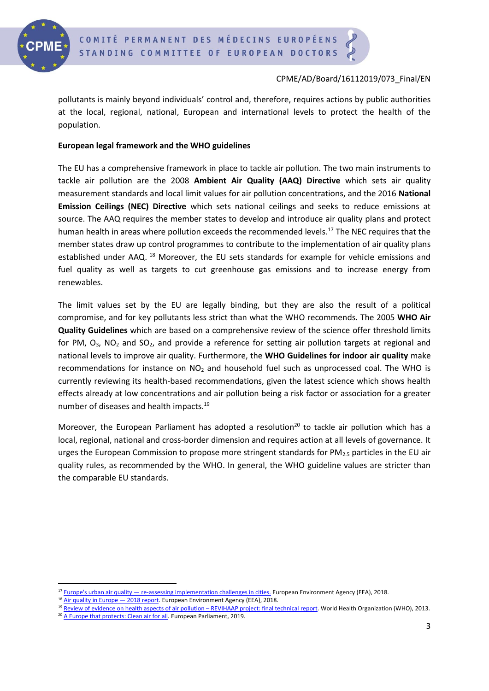

pollutants is mainly beyond individuals' control and, therefore, requires actions by public authorities at the local, regional, national, European and international levels to protect the health of the population.

## **European legal framework and the WHO guidelines**

The EU has a comprehensive framework in place to tackle air pollution. The two main instruments to tackle air pollution are the 2008 **Ambient Air Quality (AAQ) Directive** which sets air quality measurement standards and local limit values for air pollution concentrations, and the 2016 **National Emission Ceilings (NEC) Directive** which sets national ceilings and seeks to reduce emissions at source. The AAQ requires the member states to develop and introduce air quality plans and protect human health in areas where pollution exceeds the recommended levels. <sup>17</sup> The NEC requires that the member states draw up control programmes to contribute to the implementation of air quality plans established under AAQ.<sup>18</sup> Moreover, the EU sets standards for example for vehicle emissions and fuel quality as well as targets to cut greenhouse gas emissions and to increase energy from renewables.

The limit values set by the EU are legally binding, but they are also the result of a political compromise, and for key pollutants less strict than what the WHO recommends. The 2005 **WHO Air Quality Guidelines** which are based on a comprehensive review of the science offer threshold limits for PM,  $O_3$ , NO<sub>2</sub> and SO<sub>2</sub>, and provide a reference for setting air pollution targets at regional and national levels to improve air quality. Furthermore, the **WHO Guidelines for indoor air quality** make recommendations for instance on  $NO<sub>2</sub>$  and household fuel such as unprocessed coal. The WHO is currently reviewing its health-based recommendations, given the latest science which shows health effects already at low concentrations and air pollution being a risk factor or association for a greater number of diseases and health impacts.<sup>19</sup>

Moreover, the European Parliament has adopted a resolution<sup>20</sup> to tackle air pollution which has a local, regional, national and cross-border dimension and requires action at all levels of governance. It urges the European Commission to propose more stringent standards for PM<sub>2.5</sub> particles in the EU air quality rules, as recommended by the WHO. In general, the WHO guideline values are stricter than the comparable EU standards.

 $17$  Europe's urban air quality — [re-assessing implementation challenges in cities.](http://c/Users/policy.intern/Downloads/TH-Al-19-003-EN-N%20Europes%20urban%20air%20quality%2020%2003%202019%20(3).pdf) European Environment Agency (EEA), 2018.

<sup>&</sup>lt;sup>18</sup> [Air quality in Europe](https://www.eea.europa.eu/publications/air-quality-in-europe-2018) - 2018 report. European Environment Agency (EEA), 2018.

<sup>19</sup> [Review of evidence on health aspects of air pollution](http://www.euro.who.int/en/health-topics/environment-and-health/air-quality/publications/2013/review-of-evidence-on-health-aspects-of-air-pollution-revihaap-project-final-technical-report) – REVIHAAP project: final technical report. World Health Organization (WHO), 2013.

<sup>&</sup>lt;sup>20</sup> [A Europe that protects: Clean air for all.](http://www.europarl.europa.eu/doceo/document/TA-8-2019-0186_EN.html) European Parliament, 2019.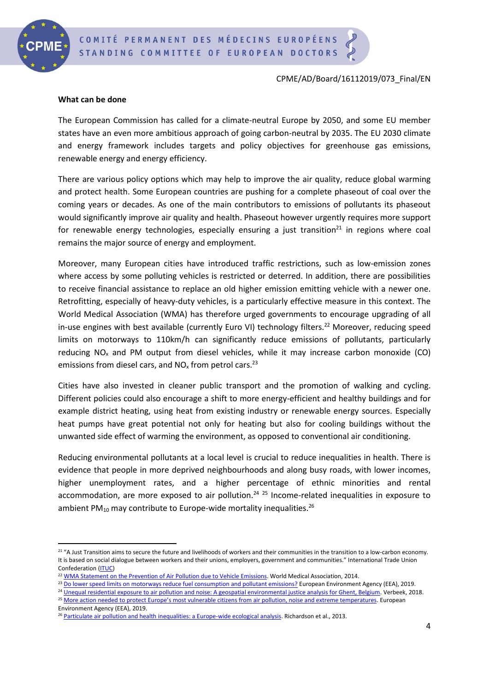

#### **What can be done**

The European Commission has called for a climate-neutral Europe by 2050, and some EU member states have an even more ambitious approach of going carbon-neutral by 2035. The EU 2030 climate and energy framework includes targets and policy objectives for greenhouse gas emissions, renewable energy and energy efficiency.

There are various policy options which may help to improve the air quality, reduce global warming and protect health. Some European countries are pushing for a complete phaseout of coal over the coming years or decades. As one of the main contributors to emissions of pollutants its phaseout would significantly improve air quality and health. Phaseout however urgently requires more support for renewable energy technologies, especially ensuring a just transition<sup>21</sup> in regions where coal remains the major source of energy and employment.

Moreover, many European cities have introduced traffic restrictions, such as low-emission zones where access by some polluting vehicles is restricted or deterred. In addition, there are possibilities to receive financial assistance to replace an old higher emission emitting vehicle with a newer one. Retrofitting, especially of heavy-duty vehicles, is a particularly effective measure in this context. The World Medical Association (WMA) has therefore urged governments to encourage upgrading of all in-use engines with best available (currently Euro VI) technology filters.<sup>22</sup> Moreover, reducing speed limits on motorways to 110km/h can significantly reduce emissions of pollutants, particularly reducing  $NO<sub>x</sub>$  and PM output from diesel vehicles, while it may increase carbon monoxide (CO) emissions from diesel cars, and  $NO_x$  from petrol cars.<sup>23</sup>

Cities have also invested in cleaner public transport and the promotion of walking and cycling. Different policies could also encourage a shift to more energy-efficient and healthy buildings and for example district heating, using heat from existing industry or renewable energy sources. Especially heat pumps have great potential not only for heating but also for cooling buildings without the unwanted side effect of warming the environment, as opposed to conventional air conditioning.

Reducing environmental pollutants at a local level is crucial to reduce inequalities in health. There is evidence that people in more deprived neighbourhoods and along busy roads, with lower incomes, higher unemployment rates, and a higher percentage of ethnic minorities and rental accommodation, are more exposed to air pollution.<sup>24 25</sup> Income-related inequalities in exposure to ambient PM<sub>10</sub> may contribute to Europe-wide mortality inequalities.<sup>26</sup>

<sup>23</sup> [Do lower speed limits on motorways reduce fuel consumption and pollutant emissions?](https://www.eea.europa.eu/themes/transport/speed-limits-fuel-consumption-and) European Environment Agency (EEA), 2019.

<sup>&</sup>lt;sup>21</sup> "A Just Transition aims to secure the future and livelihoods of workers and their communities in the transition to a low-carbon economy. It is based on social dialogue between workers and their unions, employers, government and communities." International Trade Union Confederation [\(ITUC\)](https://www.ituc-csi.org/just-transition-centre)

<sup>&</sup>lt;sup>22</sup> [WMA Statement on the Prevention of Air Pollution due to Vehicle Emissions.](https://www.wma.net/policies-post/wma-statement-on-the-prevention-of-air-pollution-due-to-vehicle-emissions/) World Medical Association, 2014.

<sup>&</sup>lt;sup>24</sup> [Unequal residential exposure to air pollution and noise: A geospatial environmental justice analysis for Ghent, Belgium.](https://www.ncbi.nlm.nih.gov/pmc/articles/PMC6304432/) Verbeek, 2018.

<sup>&</sup>lt;sup>25</sup> More action needed to prote[ct Europe's most vulnerable citizens from air pollution, noise and extreme temperatures](https://www.eea.europa.eu/highlights/protect-vulnerable-citizens). European Environment Agency (EEA), 2019.

<sup>&</sup>lt;sup>26</sup> [Particulate air pollution and health inequalities: a Europe-wide ecological analysis.](https://www.ncbi.nlm.nih.gov/pmc/articles/PMC3720269/) Richardson et al., 2013.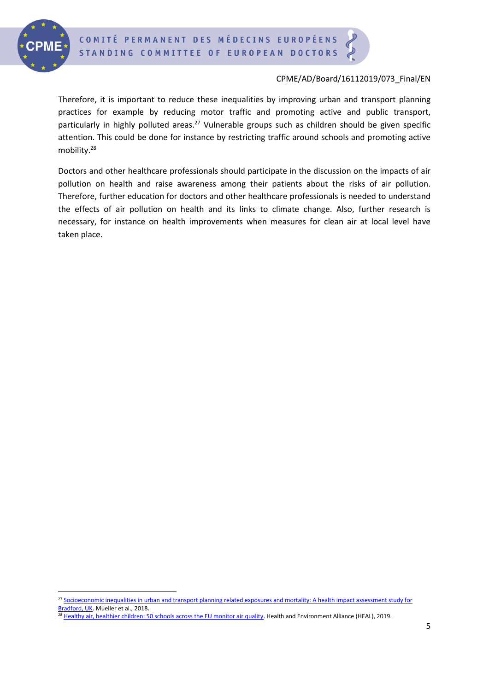

Therefore, it is important to reduce these inequalities by improving urban and transport planning practices for example by reducing motor traffic and promoting active and public transport, particularly in highly polluted areas.<sup>27</sup> Vulnerable groups such as children should be given specific attention. This could be done for instance by restricting traffic around schools and promoting active mobility.<sup>28</sup>

Doctors and other healthcare professionals should participate in the discussion on the impacts of air pollution on health and raise awareness among their patients about the risks of air pollution. Therefore, further education for doctors and other healthcare professionals is needed to understand the effects of air pollution on health and its links to climate change. Also, further research is necessary, for instance on health improvements when measures for clean air at local level have taken place.

<sup>27</sup> Socioeconomic inequalities in urban and transport planning related exposures and mortality: A health impact assessment study for [Bradford, UK.](https://www.ncbi.nlm.nih.gov/pubmed/30347375) Mueller et al., 2018.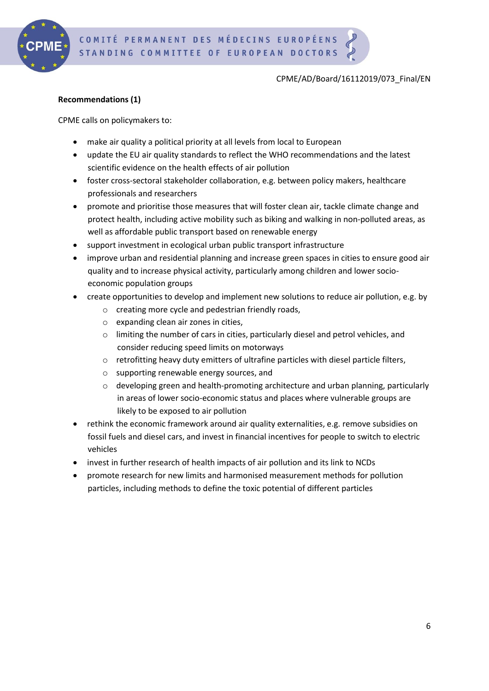

### **Recommendations (1)**

CPME calls on policymakers to:

- make air quality a political priority at all levels from local to European
- update the EU air quality standards to reflect the WHO recommendations and the latest scientific evidence on the health effects of air pollution
- foster cross-sectoral stakeholder collaboration, e.g. between policy makers, healthcare professionals and researchers
- promote and prioritise those measures that will foster clean air, tackle climate change and protect health, including active mobility such as biking and walking in non-polluted areas, as well as affordable public transport based on renewable energy
- support investment in ecological urban public transport infrastructure
- improve urban and residential planning and increase green spaces in cities to ensure good air quality and to increase physical activity, particularly among children and lower socioeconomic population groups
- create opportunities to develop and implement new solutions to reduce air pollution, e.g. by
	- o creating more cycle and pedestrian friendly roads,
	- o expanding clean air zones in cities,
	- o limiting the number of cars in cities, particularly diesel and petrol vehicles, and consider reducing speed limits on motorways
	- $\circ$  retrofitting heavy duty emitters of ultrafine particles with diesel particle filters,
	- o supporting renewable energy sources, and
	- $\circ$  developing green and health-promoting architecture and urban planning, particularly in areas of lower socio-economic status and places where vulnerable groups are likely to be exposed to air pollution
- rethink the economic framework around air quality externalities, e.g. remove subsidies on fossil fuels and diesel cars, and invest in financial incentives for people to switch to electric vehicles
- invest in further research of health impacts of air pollution and its link to NCDs
- promote research for new limits and harmonised measurement methods for pollution particles, including methods to define the toxic potential of different particles